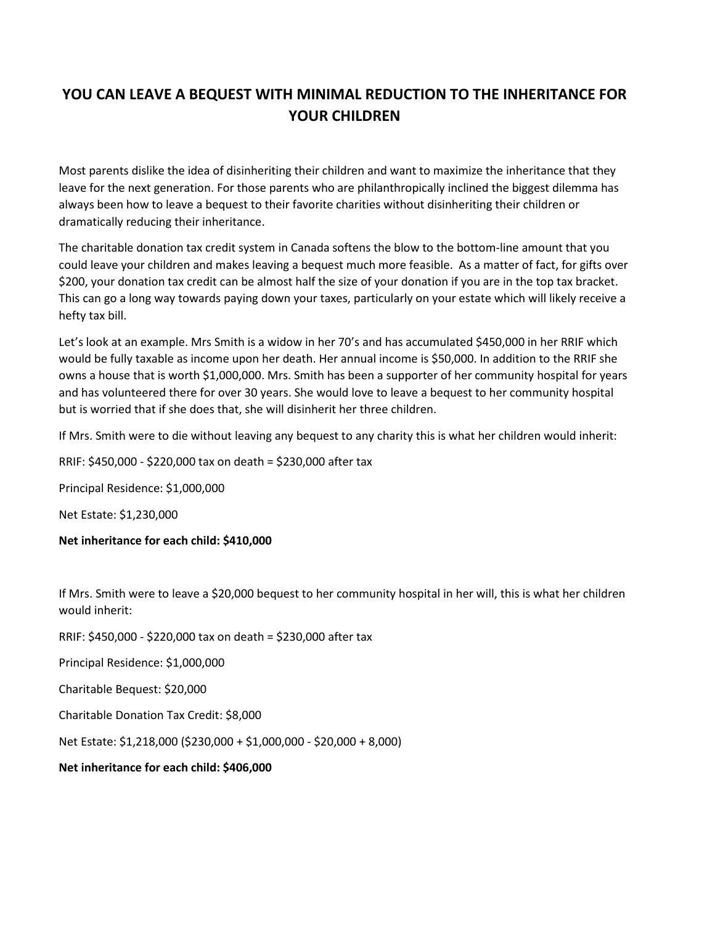## **YOU CAN LEAVE A BEQUEST WITH MINIMAL REDUCTION TO THE INHERITANCE FOR YOUR CHILDREN**

Most parents dislike the idea of disinheriting their children and want to maximize the inheritance that they leave for the next generation. For those parents who are philanthropically inclined the biggest dilemma has always been how to leave a bequest to their favorite charities without disinheriting their children or dramatically reducing their inheritance.

The charitable donation tax credit system in Canada softens the blow to the bottom-line amount that you could leave your children and makes leaving a bequest much more feasible. As a matter of fact, for gifts over \$200, your donation tax credit can be almost half the size of your donation if you are in the top tax bracket. This can go a long way towards paying down your taxes, particularly on your estate which will likely receive a hefty tax bill.

Let's look at an example. Mrs Smith is a widow in her 70's and has accumulated \$450,000 in her RRIF which would be fully taxable as income upon her death. Her annual income is \$50,000. In addition to the RRIF she owns a house that is worth \$1,000,000. Mrs. Smith has been a supporter of her community hospital for years and has volunteered there for over 30 years. She would love to leave a bequest to her community hospital but is worried that if she does that, she will disinherit her three children.

If Mrs. Smith were to die without leaving any bequest to any charity this is what her children would inherit:

RRIF: \$450,000 - \$220,000 tax on death = \$230,000 after tax

Principal Residence: \$1,000,000

Net Estate: \$1,230,000

**Net inheritance for each child: \$410,000**

If Mrs. Smith were to leave a \$20,000 bequest to her community hospital in her will, this is what her children would inherit:

RRIF: \$450,000 - \$220,000 tax on death = \$230,000 after tax

Principal Residence: \$1,000,000

Charitable Bequest: \$20,000

Charitable Donation Tax Credit: \$8,000

Net Estate: \$1,218,000 (\$230,000 + \$1,000,000 - \$20,000 + 8,000)

**Net inheritance for each child: \$406,000**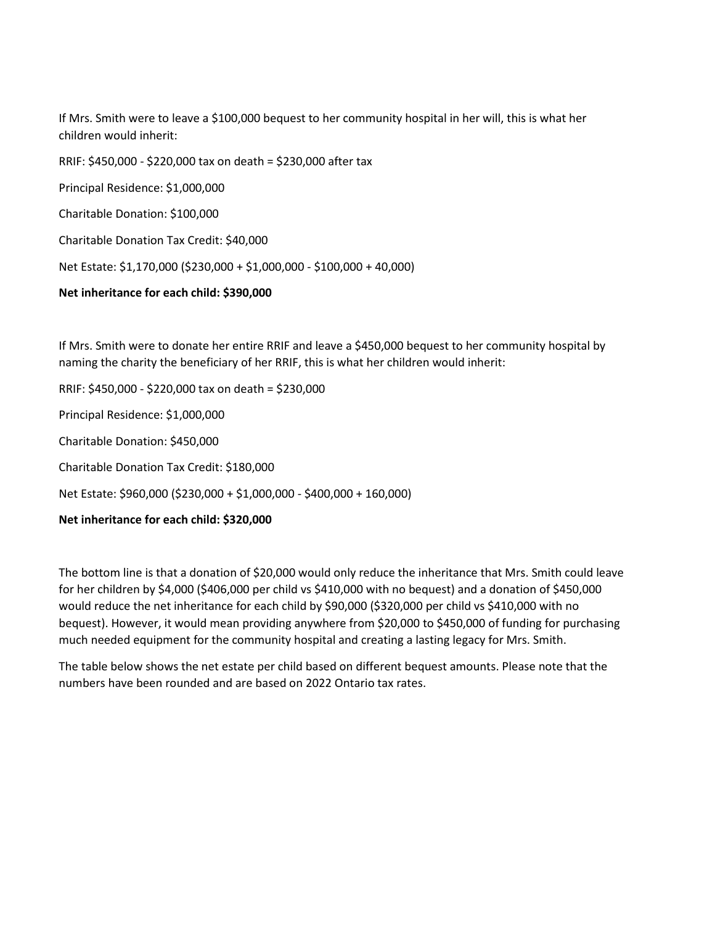If Mrs. Smith were to leave a \$100,000 bequest to her community hospital in her will, this is what her children would inherit:

RRIF: \$450,000 - \$220,000 tax on death = \$230,000 after tax

Principal Residence: \$1,000,000

Charitable Donation: \$100,000

Charitable Donation Tax Credit: \$40,000

Net Estate: \$1,170,000 (\$230,000 + \$1,000,000 - \$100,000 + 40,000)

## **Net inheritance for each child: \$390,000**

If Mrs. Smith were to donate her entire RRIF and leave a \$450,000 bequest to her community hospital by naming the charity the beneficiary of her RRIF, this is what her children would inherit:

RRIF: \$450,000 - \$220,000 tax on death = \$230,000

Principal Residence: \$1,000,000

Charitable Donation: \$450,000

Charitable Donation Tax Credit: \$180,000

Net Estate: \$960,000 (\$230,000 + \$1,000,000 - \$400,000 + 160,000)

## **Net inheritance for each child: \$320,000**

The bottom line is that a donation of \$20,000 would only reduce the inheritance that Mrs. Smith could leave for her children by \$4,000 (\$406,000 per child vs \$410,000 with no bequest) and a donation of \$450,000 would reduce the net inheritance for each child by \$90,000 (\$320,000 per child vs \$410,000 with no bequest). However, it would mean providing anywhere from \$20,000 to \$450,000 of funding for purchasing much needed equipment for the community hospital and creating a lasting legacy for Mrs. Smith.

The table below shows the net estate per child based on different bequest amounts. Please note that the numbers have been rounded and are based on 2022 Ontario tax rates.